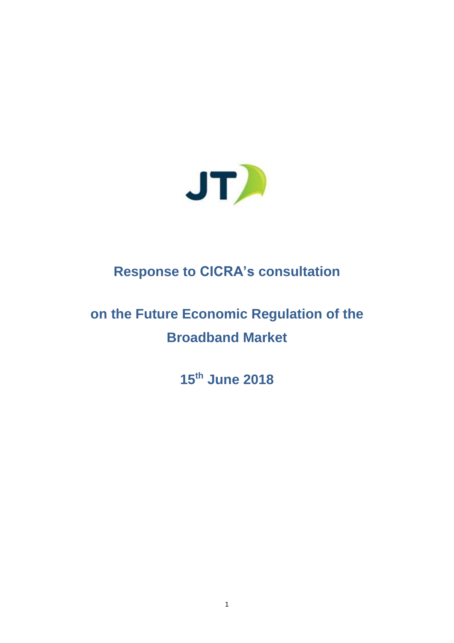

# **Response to CICRA's consultation**

# **on the Future Economic Regulation of the Broadband Market**

**15th June 2018**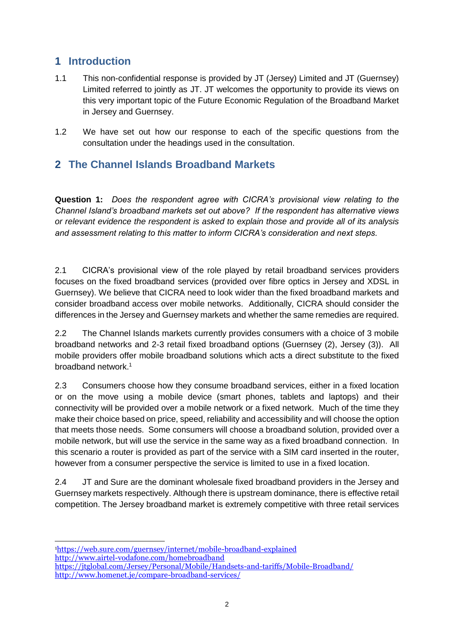#### **1 Introduction**

- 1.1 This non-confidential response is provided by JT (Jersey) Limited and JT (Guernsey) Limited referred to jointly as JT. JT welcomes the opportunity to provide its views on this very important topic of the Future Economic Regulation of the Broadband Market in Jersey and Guernsey.
- 1.2 We have set out how our response to each of the specific questions from the consultation under the headings used in the consultation.

#### **2 The Channel Islands Broadband Markets**

**Question 1:** *Does the respondent agree with CICRA's provisional view relating to the Channel Island's broadband markets set out above? If the respondent has alternative views or relevant evidence the respondent is asked to explain those and provide all of its analysis and assessment relating to this matter to inform CICRA's consideration and next steps.*

2.1 CICRA's provisional view of the role played by retail broadband services providers focuses on the fixed broadband services (provided over fibre optics in Jersey and XDSL in Guernsey). We believe that CICRA need to look wider than the fixed broadband markets and consider broadband access over mobile networks. Additionally, CICRA should consider the differences in the Jersey and Guernsey markets and whether the same remedies are required.

2.2 The Channel Islands markets currently provides consumers with a choice of 3 mobile broadband networks and 2-3 retail fixed broadband options (Guernsey (2), Jersey (3)). All mobile providers offer mobile broadband solutions which acts a direct substitute to the fixed broadband network.<sup>1</sup>

2.3 Consumers choose how they consume broadband services, either in a fixed location or on the move using a mobile device (smart phones, tablets and laptops) and their connectivity will be provided over a mobile network or a fixed network. Much of the time they make their choice based on price, speed, reliability and accessibility and will choose the option that meets those needs. Some consumers will choose a broadband solution, provided over a mobile network, but will use the service in the same way as a fixed broadband connection. In this scenario a router is provided as part of the service with a SIM card inserted in the router, however from a consumer perspective the service is limited to use in a fixed location.

2.4 JT and Sure are the dominant wholesale fixed broadband providers in the Jersey and Guernsey markets respectively. Although there is upstream dominance, there is effective retail competition. The Jersey broadband market is extremely competitive with three retail services

<sup>1</sup> <sup>1</sup><https://web.sure.com/guernsey/internet/mobile-broadband-explained> <http://www.airtel-vodafone.com/homebroadband>

<https://jtglobal.com/Jersey/Personal/Mobile/Handsets-and-tariffs/Mobile-Broadband/> <http://www.homenet.je/compare-broadband-services/>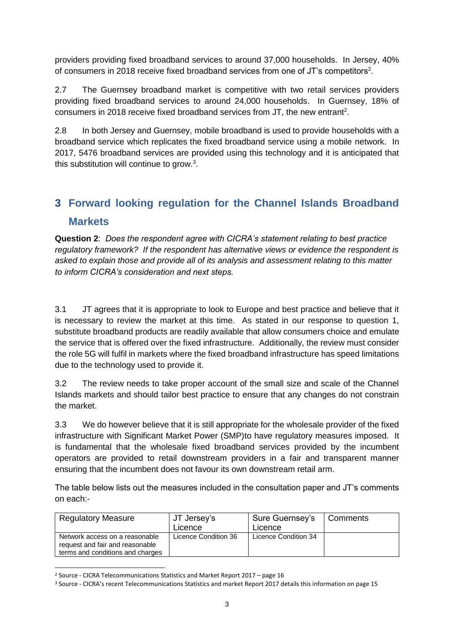providers providing fixed broadband services to around 37,000 households. In Jersey, 40% of consumers in 2018 receive fixed broadband services from one of JT's competitors<sup>2</sup>.

2.7 The Guernsey broadband market is competitive with two retail services providers providing fixed broadband services to around 24,000 households. In Guernsey, 18% of consumers in 2018 receive fixed broadband services from JT, the new entrant<sup>2</sup>.

2.8 In both Jersey and Guernsey, mobile broadband is used to provide households with a broadband service which replicates the fixed broadband service using a mobile network. In 2017, 5476 broadband services are provided using this technology and it is anticipated that this substitution will continue to grow. $3$ .

### **3 Forward looking regulation for the Channel Islands Broadband Markets**

**Question 2**: *Does the respondent agree with CICRA's statement relating to best practice regulatory framework? If the respondent has alternative views or evidence the respondent is asked to explain those and provide all of its analysis and assessment relating to this matter to inform CICRA's consideration and next steps.*

3.1 JT agrees that it is appropriate to look to Europe and best practice and believe that it is necessary to review the market at this time. As stated in our response to question 1, substitute broadband products are readily available that allow consumers choice and emulate the service that is offered over the fixed infrastructure. Additionally, the review must consider the role 5G will fulfil in markets where the fixed broadband infrastructure has speed limitations due to the technology used to provide it.

3.2 The review needs to take proper account of the small size and scale of the Channel Islands markets and should tailor best practice to ensure that any changes do not constrain the market.

3.3 We do however believe that it is still appropriate for the wholesale provider of the fixed infrastructure with Significant Market Power (SMP)to have regulatory measures imposed. It is fundamental that the wholesale fixed broadband services provided by the incumbent operators are provided to retail downstream providers in a fair and transparent manner ensuring that the incumbent does not favour its own downstream retail arm.

The table below lists out the measures included in the consultation paper and JT's comments on each:-

| <b>Regulatory Measure</b>                                                                             | JT Jersey's<br>Licence | Sure Guernsey's<br>Licence | L Comments |
|-------------------------------------------------------------------------------------------------------|------------------------|----------------------------|------------|
| Network access on a reasonable<br>request and fair and reasonable<br>terms and conditions and charges | Licence Condition 36   | Licence Condition 34       |            |

<sup>2</sup> Source - CICRA Telecommunications Statistics and Market Report 2017 – page 16

1

<sup>&</sup>lt;sup>3</sup> Source - CICRA's recent Telecommunications Statistics and market Report 2017 details this information on page 15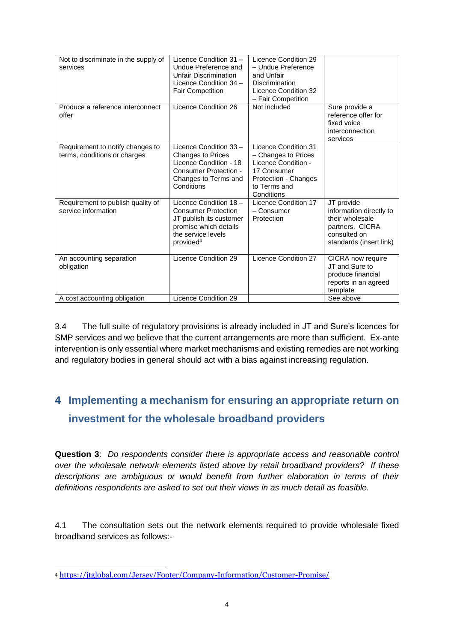| Not to discriminate in the supply of<br>services                 | Licence Condition 31 -<br>Undue Preference and<br><b>Unfair Discrimination</b><br>Licence Condition 34 -<br><b>Fair Competition</b>                     | Licence Condition 29<br>- Undue Preference<br>and Unfair<br>Discrimination<br>Licence Condition 32<br>- Fair Competition                |                                                                                                                        |
|------------------------------------------------------------------|---------------------------------------------------------------------------------------------------------------------------------------------------------|-----------------------------------------------------------------------------------------------------------------------------------------|------------------------------------------------------------------------------------------------------------------------|
| Produce a reference interconnect<br>offer                        | Licence Condition 26                                                                                                                                    | Not included                                                                                                                            | Sure provide a<br>reference offer for<br>fixed voice<br>interconnection<br>services                                    |
| Requirement to notify changes to<br>terms, conditions or charges | Licence Condition 33 -<br><b>Changes to Prices</b><br>Licence Condition - 18<br>Consumer Protection -<br>Changes to Terms and<br>Conditions             | Licence Condition 31<br>- Changes to Prices<br>Licence Condition -<br>17 Consumer<br>Protection - Changes<br>to Terms and<br>Conditions |                                                                                                                        |
| Requirement to publish quality of<br>service information         | Licence Condition 18 -<br><b>Consumer Protection</b><br>JT publish its customer<br>promise which details<br>the service levels<br>provided <sup>4</sup> | Licence Condition 17<br>- Consumer<br>Protection                                                                                        | JT provide<br>information directly to<br>their wholesale<br>partners. CICRA<br>consulted on<br>standards (insert link) |
| An accounting separation<br>obligation                           | Licence Condition 29                                                                                                                                    | Licence Condition 27                                                                                                                    | CICRA now require<br>JT and Sure to<br>produce financial<br>reports in an agreed<br>template                           |
| A cost accounting obligation                                     | Licence Condition 29                                                                                                                                    |                                                                                                                                         | See above                                                                                                              |

3.4 The full suite of regulatory provisions is already included in JT and Sure's licences for SMP services and we believe that the current arrangements are more than sufficient. Ex-ante intervention is only essential where market mechanisms and existing remedies are not working and regulatory bodies in general should act with a bias against increasing regulation.

## **4 Implementing a mechanism for ensuring an appropriate return on investment for the wholesale broadband providers**

**Question 3**: *Do respondents consider there is appropriate access and reasonable control over the wholesale network elements listed above by retail broadband providers? If these descriptions are ambiguous or would benefit from further elaboration in terms of their definitions respondents are asked to set out their views in as much detail as feasible.*

4.1 The consultation sets out the network elements required to provide wholesale fixed broadband services as follows:-

<sup>1</sup> <sup>4</sup> <https://jtglobal.com/Jersey/Footer/Company-Information/Customer-Promise/>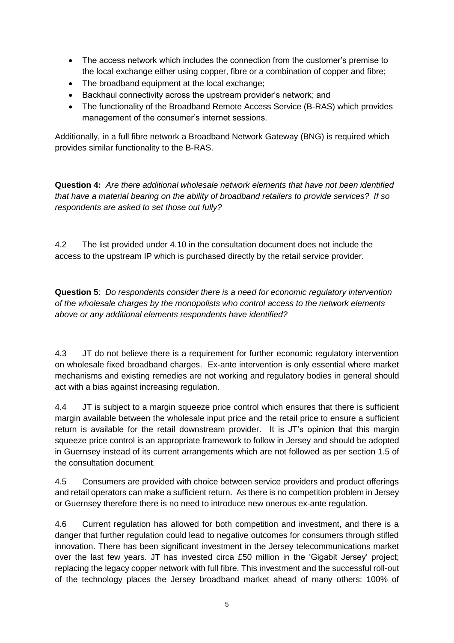- The access network which includes the connection from the customer's premise to the local exchange either using copper, fibre or a combination of copper and fibre;
- The broadband equipment at the local exchange;
- Backhaul connectivity across the upstream provider's network; and
- The functionality of the Broadband Remote Access Service (B-RAS) which provides management of the consumer's internet sessions.

Additionally, in a full fibre network a Broadband Network Gateway (BNG) is required which provides similar functionality to the B-RAS.

**Question 4:** *Are there additional wholesale network elements that have not been identified that have a material bearing on the ability of broadband retailers to provide services? If so respondents are asked to set those out fully?*

4.2 The list provided under 4.10 in the consultation document does not include the access to the upstream IP which is purchased directly by the retail service provider.

**Question 5**: *Do respondents consider there is a need for economic regulatory intervention of the wholesale charges by the monopolists who control access to the network elements above or any additional elements respondents have identified?*

4.3 JT do not believe there is a requirement for further economic regulatory intervention on wholesale fixed broadband charges. Ex-ante intervention is only essential where market mechanisms and existing remedies are not working and regulatory bodies in general should act with a bias against increasing regulation.

4.4 JT is subject to a margin squeeze price control which ensures that there is sufficient margin available between the wholesale input price and the retail price to ensure a sufficient return is available for the retail downstream provider. It is JT's opinion that this margin squeeze price control is an appropriate framework to follow in Jersey and should be adopted in Guernsey instead of its current arrangements which are not followed as per section 1.5 of the consultation document.

4.5 Consumers are provided with choice between service providers and product offerings and retail operators can make a sufficient return. As there is no competition problem in Jersey or Guernsey therefore there is no need to introduce new onerous ex-ante regulation.

4.6 Current regulation has allowed for both competition and investment, and there is a danger that further regulation could lead to negative outcomes for consumers through stifled innovation. There has been significant investment in the Jersey telecommunications market over the last few years. JT has invested circa £50 million in the 'Gigabit Jersey' project; replacing the legacy copper network with full fibre. This investment and the successful roll-out of the technology places the Jersey broadband market ahead of many others: 100% of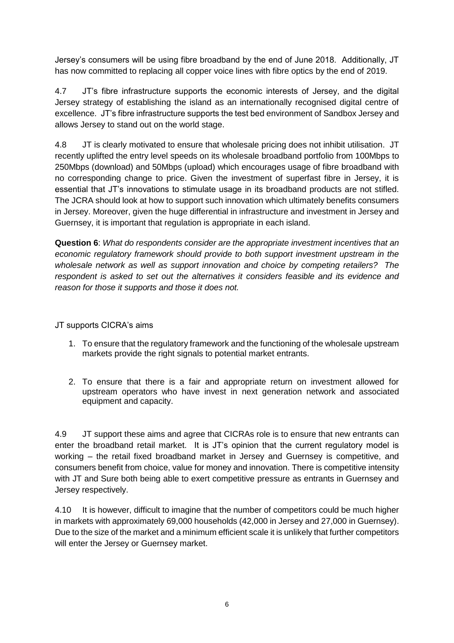Jersey's consumers will be using fibre broadband by the end of June 2018. Additionally, JT has now committed to replacing all copper voice lines with fibre optics by the end of 2019.

4.7 JT's fibre infrastructure supports the economic interests of Jersey, and the digital Jersey strategy of establishing the island as an internationally recognised digital centre of excellence. JT's fibre infrastructure supports the test bed environment of Sandbox Jersey and allows Jersey to stand out on the world stage.

4.8 JT is clearly motivated to ensure that wholesale pricing does not inhibit utilisation. JT recently uplifted the entry level speeds on its wholesale broadband portfolio from 100Mbps to 250Mbps (download) and 50Mbps (upload) which encourages usage of fibre broadband with no corresponding change to price. Given the investment of superfast fibre in Jersey, it is essential that JT's innovations to stimulate usage in its broadband products are not stifled. The JCRA should look at how to support such innovation which ultimately benefits consumers in Jersey. Moreover, given the huge differential in infrastructure and investment in Jersey and Guernsey, it is important that regulation is appropriate in each island.

**Question 6**: *What do respondents consider are the appropriate investment incentives that an economic regulatory framework should provide to both support investment upstream in the wholesale network as well as support innovation and choice by competing retailers? The*  respondent is asked to set out the alternatives it considers feasible and its evidence and *reason for those it supports and those it does not.*

JT supports CICRA's aims

- 1. To ensure that the regulatory framework and the functioning of the wholesale upstream markets provide the right signals to potential market entrants.
- 2. To ensure that there is a fair and appropriate return on investment allowed for upstream operators who have invest in next generation network and associated equipment and capacity.

4.9 JT support these aims and agree that CICRAs role is to ensure that new entrants can enter the broadband retail market. It is JT's opinion that the current regulatory model is working – the retail fixed broadband market in Jersey and Guernsey is competitive, and consumers benefit from choice, value for money and innovation. There is competitive intensity with JT and Sure both being able to exert competitive pressure as entrants in Guernsey and Jersey respectively.

4.10 It is however, difficult to imagine that the number of competitors could be much higher in markets with approximately 69,000 households (42,000 in Jersey and 27,000 in Guernsey). Due to the size of the market and a minimum efficient scale it is unlikely that further competitors will enter the Jersey or Guernsey market.